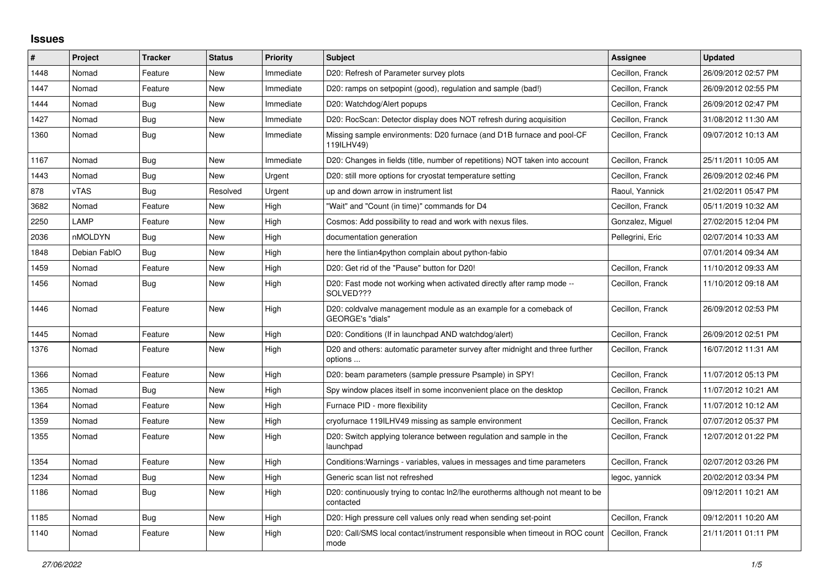## **Issues**

| #    | Project      | <b>Tracker</b> | <b>Status</b> | <b>Priority</b> | <b>Subject</b>                                                                                          | Assignee         | <b>Updated</b>      |
|------|--------------|----------------|---------------|-----------------|---------------------------------------------------------------------------------------------------------|------------------|---------------------|
| 1448 | Nomad        | Feature        | New           | Immediate       | D20: Refresh of Parameter survey plots                                                                  | Cecillon, Franck | 26/09/2012 02:57 PM |
| 1447 | Nomad        | Feature        | New           | Immediate       | D20: ramps on setpopint (good), regulation and sample (bad!)                                            | Cecillon, Franck | 26/09/2012 02:55 PM |
| 1444 | Nomad        | <b>Bug</b>     | New           | Immediate       | D20: Watchdog/Alert popups                                                                              | Cecillon, Franck | 26/09/2012 02:47 PM |
| 1427 | Nomad        | <b>Bug</b>     | New           | Immediate       | D20: RocScan: Detector display does NOT refresh during acquisition                                      | Cecillon, Franck | 31/08/2012 11:30 AM |
| 1360 | Nomad        | <b>Bug</b>     | New           | Immediate       | Missing sample environments: D20 furnace (and D1B furnace and pool-CF<br>119ILHV49)                     | Cecillon, Franck | 09/07/2012 10:13 AM |
| 1167 | Nomad        | Bug            | <b>New</b>    | Immediate       | D20: Changes in fields (title, number of repetitions) NOT taken into account                            | Cecillon, Franck | 25/11/2011 10:05 AM |
| 1443 | Nomad        | <b>Bug</b>     | New           | Urgent          | D20: still more options for cryostat temperature setting                                                | Cecillon, Franck | 26/09/2012 02:46 PM |
| 878  | vTAS         | Bug            | Resolved      | Urgent          | up and down arrow in instrument list                                                                    | Raoul, Yannick   | 21/02/2011 05:47 PM |
| 3682 | Nomad        | Feature        | <b>New</b>    | High            | "Wait" and "Count (in time)" commands for D4                                                            | Cecillon, Franck | 05/11/2019 10:32 AM |
| 2250 | LAMP         | Feature        | <b>New</b>    | High            | Cosmos: Add possibility to read and work with nexus files.                                              | Gonzalez, Miguel | 27/02/2015 12:04 PM |
| 2036 | nMOLDYN      | Bug            | New           | High            | documentation generation                                                                                | Pellegrini, Eric | 02/07/2014 10:33 AM |
| 1848 | Debian FablO | Bug            | New           | High            | here the lintian4python complain about python-fabio                                                     |                  | 07/01/2014 09:34 AM |
| 1459 | Nomad        | Feature        | <b>New</b>    | High            | D20: Get rid of the "Pause" button for D20!                                                             | Cecillon, Franck | 11/10/2012 09:33 AM |
| 1456 | Nomad        | Bug            | New           | High            | D20: Fast mode not working when activated directly after ramp mode --<br>SOLVED???                      | Cecillon, Franck | 11/10/2012 09:18 AM |
| 1446 | Nomad        | Feature        | New           | High            | D20: coldvalve management module as an example for a comeback of<br>GEORGE's "dials"                    | Cecillon, Franck | 26/09/2012 02:53 PM |
| 1445 | Nomad        | Feature        | New           | High            | D20: Conditions (If in launchpad AND watchdog/alert)                                                    | Cecillon, Franck | 26/09/2012 02:51 PM |
| 1376 | Nomad        | Feature        | New           | High            | D20 and others: automatic parameter survey after midnight and three further<br>options                  | Cecillon, Franck | 16/07/2012 11:31 AM |
| 1366 | Nomad        | Feature        | <b>New</b>    | High            | D20: beam parameters (sample pressure Psample) in SPY!                                                  | Cecillon, Franck | 11/07/2012 05:13 PM |
| 1365 | Nomad        | <b>Bug</b>     | New           | High            | Spy window places itself in some inconvenient place on the desktop                                      | Cecillon, Franck | 11/07/2012 10:21 AM |
| 1364 | Nomad        | Feature        | New           | High            | Furnace PID - more flexibility                                                                          | Cecillon, Franck | 11/07/2012 10:12 AM |
| 1359 | Nomad        | Feature        | New           | High            | cryofurnace 119ILHV49 missing as sample environment                                                     | Cecillon, Franck | 07/07/2012 05:37 PM |
| 1355 | Nomad        | Feature        | New           | High            | D20: Switch applying tolerance between regulation and sample in the<br>launchpad                        | Cecillon, Franck | 12/07/2012 01:22 PM |
| 1354 | Nomad        | Feature        | <b>New</b>    | High            | Conditions: Warnings - variables, values in messages and time parameters                                | Cecillon, Franck | 02/07/2012 03:26 PM |
| 1234 | Nomad        | Bug            | New           | High            | Generic scan list not refreshed                                                                         | legoc, yannick   | 20/02/2012 03:34 PM |
| 1186 | Nomad        | Bug            | New           | High            | D20: continuously trying to contac ln2/lhe eurotherms although not meant to be<br>contacted             |                  | 09/12/2011 10:21 AM |
| 1185 | Nomad        | <b>Bug</b>     | <b>New</b>    | High            | D20: High pressure cell values only read when sending set-point                                         | Cecillon, Franck | 09/12/2011 10:20 AM |
| 1140 | Nomad        | Feature        | New           | High            | D20: Call/SMS local contact/instrument responsible when timeout in ROC count   Cecillon, Franck<br>mode |                  | 21/11/2011 01:11 PM |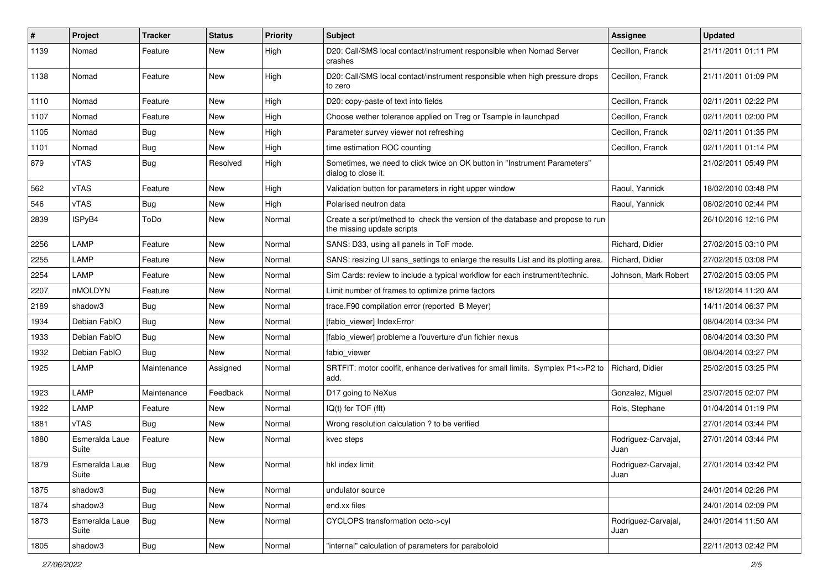| #    | Project                 | <b>Tracker</b> | <b>Status</b> | <b>Priority</b> | <b>Subject</b>                                                                                               | <b>Assignee</b>             | <b>Updated</b>      |
|------|-------------------------|----------------|---------------|-----------------|--------------------------------------------------------------------------------------------------------------|-----------------------------|---------------------|
| 1139 | Nomad                   | Feature        | New           | High            | D20: Call/SMS local contact/instrument responsible when Nomad Server<br>crashes                              | Cecillon, Franck            | 21/11/2011 01:11 PM |
| 1138 | Nomad                   | Feature        | New           | High            | D20: Call/SMS local contact/instrument responsible when high pressure drops<br>to zero                       | Cecillon, Franck            | 21/11/2011 01:09 PM |
| 1110 | Nomad                   | Feature        | New           | High            | D20: copy-paste of text into fields                                                                          | Cecillon, Franck            | 02/11/2011 02:22 PM |
| 1107 | Nomad                   | Feature        | New           | High            | Choose wether tolerance applied on Treg or Tsample in launchpad                                              | Cecillon, Franck            | 02/11/2011 02:00 PM |
| 1105 | Nomad                   | <b>Bug</b>     | New           | High            | Parameter survey viewer not refreshing                                                                       | Cecillon, Franck            | 02/11/2011 01:35 PM |
| 1101 | Nomad                   | Bug            | New           | High            | time estimation ROC counting                                                                                 | Cecillon, Franck            | 02/11/2011 01:14 PM |
| 879  | vTAS                    | <b>Bug</b>     | Resolved      | High            | Sometimes, we need to click twice on OK button in "Instrument Parameters"<br>dialog to close it.             |                             | 21/02/2011 05:49 PM |
| 562  | <b>vTAS</b>             | Feature        | New           | High            | Validation button for parameters in right upper window                                                       | Raoul, Yannick              | 18/02/2010 03:48 PM |
| 546  | vTAS                    | Bug            | New           | High            | Polarised neutron data                                                                                       | Raoul, Yannick              | 08/02/2010 02:44 PM |
| 2839 | ISPyB4                  | ToDo           | New           | Normal          | Create a script/method to check the version of the database and propose to run<br>the missing update scripts |                             | 26/10/2016 12:16 PM |
| 2256 | LAMP                    | Feature        | <b>New</b>    | Normal          | SANS: D33, using all panels in ToF mode.                                                                     | Richard, Didier             | 27/02/2015 03:10 PM |
| 2255 | LAMP                    | Feature        | New           | Normal          | SANS: resizing UI sans_settings to enlarge the results List and its plotting area                            | Richard, Didier             | 27/02/2015 03:08 PM |
| 2254 | LAMP                    | Feature        | New           | Normal          | Sim Cards: review to include a typical workflow for each instrument/technic.                                 | Johnson, Mark Robert        | 27/02/2015 03:05 PM |
| 2207 | nMOLDYN                 | Feature        | New           | Normal          | Limit number of frames to optimize prime factors                                                             |                             | 18/12/2014 11:20 AM |
| 2189 | shadow3                 | <b>Bug</b>     | New           | Normal          | trace.F90 compilation error (reported B Meyer)                                                               |                             | 14/11/2014 06:37 PM |
| 1934 | Debian FablO            | <b>Bug</b>     | New           | Normal          | [fabio_viewer] IndexError                                                                                    |                             | 08/04/2014 03:34 PM |
| 1933 | Debian FablO            | <b>Bug</b>     | New           | Normal          | [fabio_viewer] probleme a l'ouverture d'un fichier nexus                                                     |                             | 08/04/2014 03:30 PM |
| 1932 | Debian FablO            | <b>Bug</b>     | New           | Normal          | fabio viewer                                                                                                 |                             | 08/04/2014 03:27 PM |
| 1925 | LAMP                    | Maintenance    | Assigned      | Normal          | SRTFIT: motor coolfit, enhance derivatives for small limits. Symplex P1<>P2 to<br>add.                       | Richard, Didier             | 25/02/2015 03:25 PM |
| 1923 | LAMP                    | Maintenance    | Feedback      | Normal          | D17 going to NeXus                                                                                           | Gonzalez, Miguel            | 23/07/2015 02:07 PM |
| 1922 | LAMP                    | Feature        | New           | Normal          | IQ(t) for TOF (fft)                                                                                          | Rols, Stephane              | 01/04/2014 01:19 PM |
| 1881 | <b>vTAS</b>             | <b>Bug</b>     | New           | Normal          | Wrong resolution calculation ? to be verified                                                                |                             | 27/01/2014 03:44 PM |
| 1880 | Esmeralda Laue<br>Suite | Feature        | New           | Normal          | kvec steps                                                                                                   | Rodriguez-Carvajal,<br>Juan | 27/01/2014 03:44 PM |
| 1879 | Esmeralda Laue<br>Suite | Bug            | New           | Normal          | hkl index limit                                                                                              | Rodriguez-Carvaial.<br>Juan | 27/01/2014 03:42 PM |
| 1875 | shadow3                 | Bug            | New           | Normal          | undulator source                                                                                             |                             | 24/01/2014 02:26 PM |
| 1874 | shadow3                 | <b>Bug</b>     | New           | Normal          | end.xx files                                                                                                 |                             | 24/01/2014 02:09 PM |
| 1873 | Esmeralda Laue<br>Suite | Bug            | New           | Normal          | CYCLOPS transformation octo->cyl                                                                             | Rodriguez-Carvajal,<br>Juan | 24/01/2014 11:50 AM |
| 1805 | shadow3                 | Bug            | New           | Normal          | "internal" calculation of parameters for paraboloid                                                          |                             | 22/11/2013 02:42 PM |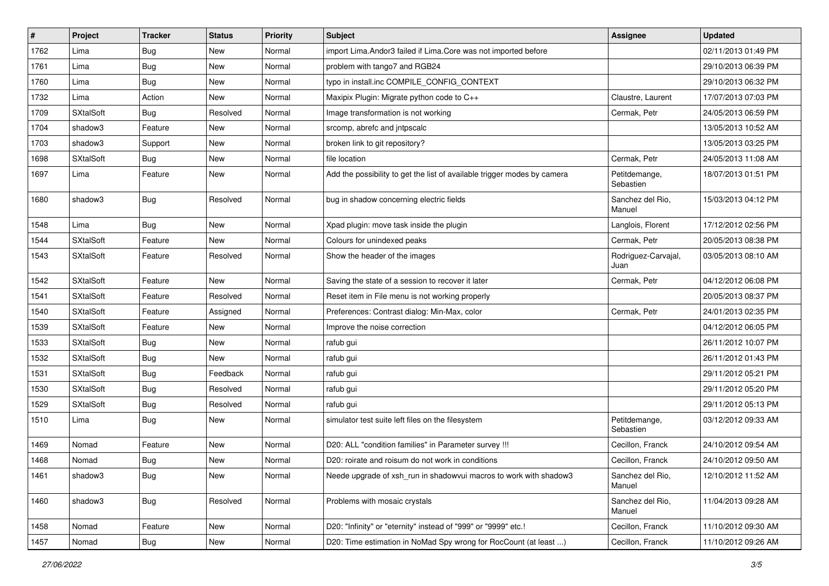| $\sharp$ | Project          | <b>Tracker</b> | <b>Status</b> | <b>Priority</b> | <b>Subject</b>                                                           | <b>Assignee</b>             | <b>Updated</b>      |
|----------|------------------|----------------|---------------|-----------------|--------------------------------------------------------------------------|-----------------------------|---------------------|
| 1762     | Lima             | <b>Bug</b>     | New           | Normal          | import Lima. Andor3 failed if Lima. Core was not imported before         |                             | 02/11/2013 01:49 PM |
| 1761     | Lima             | <b>Bug</b>     | New           | Normal          | problem with tango7 and RGB24                                            |                             | 29/10/2013 06:39 PM |
| 1760     | Lima             | <b>Bug</b>     | New           | Normal          | typo in install.inc COMPILE_CONFIG_CONTEXT                               |                             | 29/10/2013 06:32 PM |
| 1732     | Lima             | Action         | New           | Normal          | Maxipix Plugin: Migrate python code to C++                               | Claustre, Laurent           | 17/07/2013 07:03 PM |
| 1709     | <b>SXtalSoft</b> | <b>Bug</b>     | Resolved      | Normal          | Image transformation is not working                                      | Cermak, Petr                | 24/05/2013 06:59 PM |
| 1704     | shadow3          | Feature        | New           | Normal          | srcomp, abrefc and jntpscalc                                             |                             | 13/05/2013 10:52 AM |
| 1703     | shadow3          | Support        | New           | Normal          | broken link to git repository?                                           |                             | 13/05/2013 03:25 PM |
| 1698     | <b>SXtalSoft</b> | <b>Bug</b>     | New           | Normal          | file location                                                            | Cermak. Petr                | 24/05/2013 11:08 AM |
| 1697     | Lima             | Feature        | New           | Normal          | Add the possibility to get the list of available trigger modes by camera | Petitdemange,<br>Sebastien  | 18/07/2013 01:51 PM |
| 1680     | shadow3          | <b>Bug</b>     | Resolved      | Normal          | bug in shadow concerning electric fields                                 | Sanchez del Rio,<br>Manuel  | 15/03/2013 04:12 PM |
| 1548     | Lima             | <b>Bug</b>     | <b>New</b>    | Normal          | Xpad plugin: move task inside the plugin                                 | Langlois, Florent           | 17/12/2012 02:56 PM |
| 1544     | <b>SXtalSoft</b> | Feature        | New           | Normal          | Colours for unindexed peaks                                              | Cermak, Petr                | 20/05/2013 08:38 PM |
| 1543     | <b>SXtalSoft</b> | Feature        | Resolved      | Normal          | Show the header of the images                                            | Rodriguez-Carvajal,<br>Juan | 03/05/2013 08:10 AM |
| 1542     | <b>SXtalSoft</b> | Feature        | New           | Normal          | Saving the state of a session to recover it later                        | Cermak, Petr                | 04/12/2012 06:08 PM |
| 1541     | <b>SXtalSoft</b> | Feature        | Resolved      | Normal          | Reset item in File menu is not working properly                          |                             | 20/05/2013 08:37 PM |
| 1540     | <b>SXtalSoft</b> | Feature        | Assigned      | Normal          | Preferences: Contrast dialog: Min-Max, color                             | Cermak, Petr                | 24/01/2013 02:35 PM |
| 1539     | <b>SXtalSoft</b> | Feature        | New           | Normal          | Improve the noise correction                                             |                             | 04/12/2012 06:05 PM |
| 1533     | <b>SXtalSoft</b> | <b>Bug</b>     | <b>New</b>    | Normal          | rafub gui                                                                |                             | 26/11/2012 10:07 PM |
| 1532     | <b>SXtalSoft</b> | <b>Bug</b>     | New           | Normal          | rafub gui                                                                |                             | 26/11/2012 01:43 PM |
| 1531     | <b>SXtalSoft</b> | <b>Bug</b>     | Feedback      | Normal          | rafub gui                                                                |                             | 29/11/2012 05:21 PM |
| 1530     | <b>SXtalSoft</b> | Bug            | Resolved      | Normal          | rafub gui                                                                |                             | 29/11/2012 05:20 PM |
| 1529     | <b>SXtalSoft</b> | Bug            | Resolved      | Normal          | rafub gui                                                                |                             | 29/11/2012 05:13 PM |
| 1510     | Lima             | <b>Bug</b>     | New           | Normal          | simulator test suite left files on the filesystem                        | Petitdemange,<br>Sebastien  | 03/12/2012 09:33 AM |
| 1469     | Nomad            | Feature        | New           | Normal          | D20: ALL "condition families" in Parameter survey !!!                    | Cecillon, Franck            | 24/10/2012 09:54 AM |
| 1468     | Nomad            | <b>Bug</b>     | New           | Normal          | D20: roirate and roisum do not work in conditions                        | Cecillon, Franck            | 24/10/2012 09:50 AM |
| 1461     | shadow3          | <b>Bug</b>     | New           | Normal          | Neede upgrade of xsh run in shadowvui macros to work with shadow3        | Sanchez del Rio,<br>Manuel  | 12/10/2012 11:52 AM |
| 1460     | shadow3          | <b>Bug</b>     | Resolved      | Normal          | Problems with mosaic crystals                                            | Sanchez del Rio,<br>Manuel  | 11/04/2013 09:28 AM |
| 1458     | Nomad            | Feature        | New           | Normal          | D20: "Infinity" or "eternity" instead of "999" or "9999" etc.!           | Cecillon, Franck            | 11/10/2012 09:30 AM |
| 1457     | Nomad            | Bug            | New           | Normal          | D20: Time estimation in NoMad Spy wrong for RocCount (at least )         | Cecillon, Franck            | 11/10/2012 09:26 AM |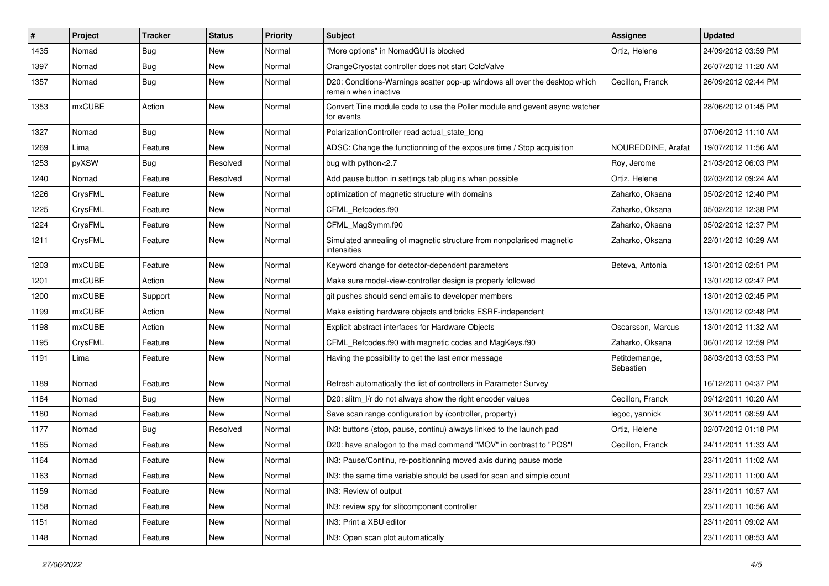| #    | Project       | <b>Tracker</b> | <b>Status</b> | <b>Priority</b> | <b>Subject</b>                                                                                     | <b>Assignee</b>            | <b>Updated</b>      |
|------|---------------|----------------|---------------|-----------------|----------------------------------------------------------------------------------------------------|----------------------------|---------------------|
| 1435 | Nomad         | <b>Bug</b>     | New           | Normal          | 'More options" in NomadGUI is blocked                                                              | Ortiz, Helene              | 24/09/2012 03:59 PM |
| 1397 | Nomad         | <b>Bug</b>     | New           | Normal          | OrangeCryostat controller does not start ColdValve                                                 |                            | 26/07/2012 11:20 AM |
| 1357 | Nomad         | <b>Bug</b>     | New           | Normal          | D20: Conditions-Warnings scatter pop-up windows all over the desktop which<br>remain when inactive | Cecillon, Franck           | 26/09/2012 02:44 PM |
| 1353 | <b>mxCUBE</b> | Action         | <b>New</b>    | Normal          | Convert Tine module code to use the Poller module and gevent async watcher<br>for events           |                            | 28/06/2012 01:45 PM |
| 1327 | Nomad         | <b>Bug</b>     | New           | Normal          | PolarizationController read actual state long                                                      |                            | 07/06/2012 11:10 AM |
| 1269 | Lima          | Feature        | New           | Normal          | ADSC: Change the functionning of the exposure time / Stop acquisition                              | NOUREDDINE, Arafat         | 19/07/2012 11:56 AM |
| 1253 | pyXSW         | <b>Bug</b>     | Resolved      | Normal          | bug with python<2.7                                                                                | Roy, Jerome                | 21/03/2012 06:03 PM |
| 1240 | Nomad         | Feature        | Resolved      | Normal          | Add pause button in settings tab plugins when possible                                             | Ortiz, Helene              | 02/03/2012 09:24 AM |
| 1226 | CrysFML       | Feature        | New           | Normal          | optimization of magnetic structure with domains                                                    | Zaharko, Oksana            | 05/02/2012 12:40 PM |
| 1225 | CrysFML       | Feature        | New           | Normal          | CFML Refcodes.f90                                                                                  | Zaharko, Oksana            | 05/02/2012 12:38 PM |
| 1224 | CrysFML       | Feature        | New           | Normal          | CFML MagSymm.f90                                                                                   | Zaharko, Oksana            | 05/02/2012 12:37 PM |
| 1211 | CrysFML       | Feature        | New           | Normal          | Simulated annealing of magnetic structure from nonpolarised magnetic<br>intensities                | Zaharko, Oksana            | 22/01/2012 10:29 AM |
| 1203 | mxCUBE        | Feature        | New           | Normal          | Keyword change for detector-dependent parameters                                                   | Beteva, Antonia            | 13/01/2012 02:51 PM |
| 1201 | mxCUBE        | Action         | New           | Normal          | Make sure model-view-controller design is properly followed                                        |                            | 13/01/2012 02:47 PM |
| 1200 | <b>mxCUBE</b> | Support        | New           | Normal          | git pushes should send emails to developer members                                                 |                            | 13/01/2012 02:45 PM |
| 1199 | mxCUBE        | Action         | New           | Normal          | Make existing hardware objects and bricks ESRF-independent                                         |                            | 13/01/2012 02:48 PM |
| 1198 | mxCUBE        | Action         | New           | Normal          | Explicit abstract interfaces for Hardware Objects                                                  | Oscarsson, Marcus          | 13/01/2012 11:32 AM |
| 1195 | CrysFML       | Feature        | New           | Normal          | CFML Refcodes.f90 with magnetic codes and MagKeys.f90                                              | Zaharko, Oksana            | 06/01/2012 12:59 PM |
| 1191 | Lima          | Feature        | New           | Normal          | Having the possibility to get the last error message                                               | Petitdemange,<br>Sebastien | 08/03/2013 03:53 PM |
| 1189 | Nomad         | Feature        | New           | Normal          | Refresh automatically the list of controllers in Parameter Survey                                  |                            | 16/12/2011 04:37 PM |
| 1184 | Nomad         | <b>Bug</b>     | New           | Normal          | D20: slitm_l/r do not always show the right encoder values                                         | Cecillon, Franck           | 09/12/2011 10:20 AM |
| 1180 | Nomad         | Feature        | New           | Normal          | Save scan range configuration by (controller, property)                                            | legoc, yannick             | 30/11/2011 08:59 AM |
| 1177 | Nomad         | <b>Bug</b>     | Resolved      | Normal          | IN3: buttons (stop, pause, continu) always linked to the launch pad                                | Ortiz, Helene              | 02/07/2012 01:18 PM |
| 1165 | Nomad         | Feature        | New           | Normal          | D20: have analogon to the mad command "MOV" in contrast to "POS"!                                  | Cecillon, Franck           | 24/11/2011 11:33 AM |
| 1164 | Nomad         | Feature        | New           | Normal          | IN3: Pause/Continu, re-positionning moved axis during pause mode                                   |                            | 23/11/2011 11:02 AM |
| 1163 | Nomad         | Feature        | New           | Normal          | IN3: the same time variable should be used for scan and simple count                               |                            | 23/11/2011 11:00 AM |
| 1159 | Nomad         | Feature        | New           | Normal          | IN3: Review of output                                                                              |                            | 23/11/2011 10:57 AM |
| 1158 | Nomad         | Feature        | New           | Normal          | IN3: review spy for slitcomponent controller                                                       |                            | 23/11/2011 10:56 AM |
| 1151 | Nomad         | Feature        | New           | Normal          | IN3: Print a XBU editor                                                                            |                            | 23/11/2011 09:02 AM |
| 1148 | Nomad         | Feature        | New           | Normal          | IN3: Open scan plot automatically                                                                  |                            | 23/11/2011 08:53 AM |